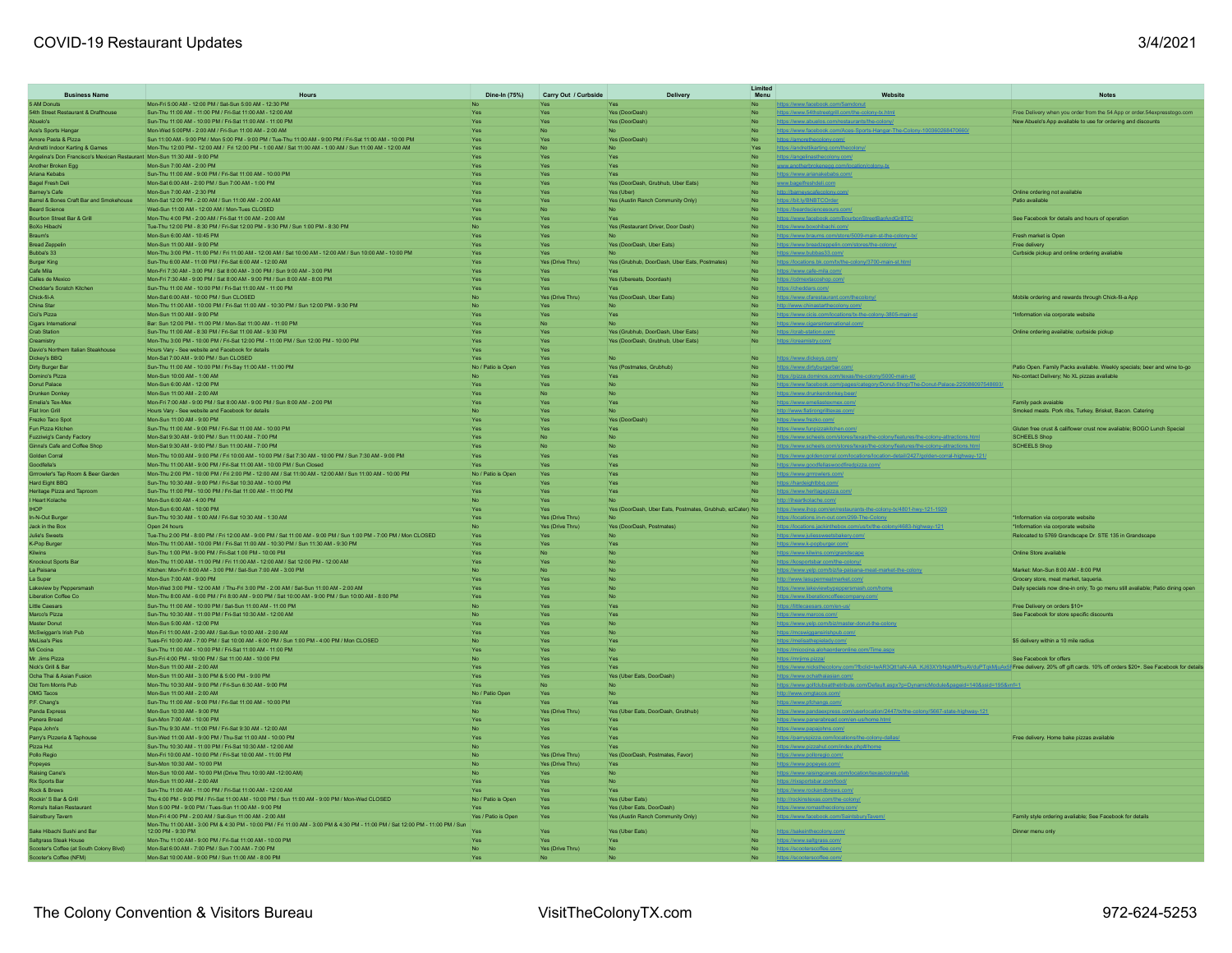## COVID-19 Restaurant Updates 3/4/2021

| <b>Business Name</b>                                                                                        | Hours                                                                                                                                                                                                  |                              | Dine-In (75%) Carry Out / Curbside | Delivery                                                  | Limited<br>Menu | Website                                                                                                                                                                | <b>Notes</b>                                                                      |
|-------------------------------------------------------------------------------------------------------------|--------------------------------------------------------------------------------------------------------------------------------------------------------------------------------------------------------|------------------------------|------------------------------------|-----------------------------------------------------------|-----------------|------------------------------------------------------------------------------------------------------------------------------------------------------------------------|-----------------------------------------------------------------------------------|
| 5 AM Donuts                                                                                                 | Mon-Fri 5:00 AM - 12:00 PM / Sat-Sun 5:00 AM - 12:30 PM                                                                                                                                                |                              | Yes                                | Yes                                                       |                 | https://www.facebook.com/5amdonut                                                                                                                                      |                                                                                   |
| 54th Street Restaurant & Drafthouse                                                                         | Sun-Thu 11:00 AM - 11:00 PM / Fri-Sat 11:00 AM - 12:00 AM                                                                                                                                              | <b>Yes</b>                   | Yes                                | Yes (DoorDash)                                            | <b>No</b>       | https://www.54thstreetgrill.com/the-colony-tx.html                                                                                                                     | Free Delivery when you order from the 54 App or order.54expresstogo.com           |
| s'olaudA                                                                                                    | Sun-Thu 11:00 AM - 10:00 PM / Fri-Sat 11:00 AM - 11:00 PM                                                                                                                                              | Yes.                         | <b>Yes</b>                         | Yes (DoorDash)                                            | N <sub>o</sub>  | https://www.abuelos.com/restaurants/the-colony/                                                                                                                        | New Abuelo's App available to use for ordering and discounts                      |
| Ace's Sports Hangar                                                                                         | Mon-Wed 5:00PM - 2:00 AM / Fri-Sun 11:00 AM - 2:00 AM                                                                                                                                                  | Yes                          | No                                 | No                                                        |                 | https://www.facebook.com/Aces-Sports-Hangar-The-Colony-100360268470660/                                                                                                |                                                                                   |
| Amore Pasta & Pizza                                                                                         | Sun 11:00 AM - 9:00 PM / Mon 5:00 PM - 9:00 PM / Tue-Thu 11:00 AM - 9:00 PM / Fri-Sat 11:00 AM - 10:00 PM                                                                                              | <b>Yes</b>                   | Yes                                | Yes (DoorDash)                                            |                 | https://amorethecolony.com/                                                                                                                                            |                                                                                   |
| Andretti Indoor Karting & Games<br>Angelina's Don Francisco's Mexican Restaurant Mon-Sun 11:30 AM - 9:00 PM | Mon-Thu 12:00 PM - 12:00 AM / Fri 12:00 PM - 1:00 AM / Sat 11:00 AM - 1:00 AM / Sun 11:00 AM - 12:00 AM                                                                                                | Yes<br>Yes                   | N <sub>o</sub><br>Yes              | N <sub>n</sub><br>Yes                                     | <b>Yes</b>      | https://andrettikarting.com/thecolony<br>https://angelinasthecolony.com/                                                                                               |                                                                                   |
| Another Broken Egg                                                                                          | Mon-Sun 7:00 AM - 2:00 PM                                                                                                                                                                              | <b>Yes</b>                   | Yes                                | Yes                                                       |                 | www.anotherbrokenegg.com/loca                                                                                                                                          |                                                                                   |
| Ariana Kebabs                                                                                               | Sun-Thu 11:00 AM - 9:00 PM / Fri-Sat 11:00 AM - 10:00 PM                                                                                                                                               |                              | Yes                                | Yes                                                       |                 | https://www.arianakebabs.com/                                                                                                                                          |                                                                                   |
| Bagel Fresh Deli                                                                                            | Mon-Sat 6:00 AM - 2:00 PM / Sun 7:00 AM - 1:00 PM                                                                                                                                                      | Yes                          | Yes                                | Yes (DoorDash, Grubhub, Uber Eats)                        |                 | www.bagelfreshdeli.com                                                                                                                                                 |                                                                                   |
| Barney's Cafe                                                                                               | Mon-Sun 7:00 AM - 2:30 PM                                                                                                                                                                              | Yes.                         | Yes                                | Yes (Uher)                                                |                 | http://barneyscafecolony.com/                                                                                                                                          | Online ordering not available                                                     |
|                                                                                                             | Barrel & Bones Craft Bar and Smokehouse Mon-Sat 12:00 PM - 2:00 AM / Sun 11:00 AM - 2:00 AM                                                                                                            |                              | Yes                                | Yes (Austin Ranch Community Only)                         |                 | https://bit.ly/BNBTCOrder                                                                                                                                              | Patio available                                                                   |
| Beard Science<br><b>Bourbon Street Bar &amp; Grill</b>                                                      | Wed-Sun 11:00 AM - 12:00 AM / Mon-Tues CLOSED<br>Mon-Thu 4:00 PM - 2:00 AM / Fri-Sat 11:00 AM - 2:00 AM                                                                                                | <b>Yes</b><br>Yes            | N <sub>o</sub>                     | N <sub>n</sub><br>Yes.                                    |                 | https://beardsciencesours.com/                                                                                                                                         | See Facebook for details and hours of operation                                   |
| BoXo Hibachi                                                                                                | Tue-Thu 12:00 PM - 8:30 PM / Fri-Sat 12:00 PM - 9:30 PM / Sun 1:00 PM - 8:30 PM                                                                                                                        | <b>No</b>                    | Yes<br>Yes                         | Yes (Restaurant Driver, Door Dash)                        |                 | https://www.facebook.com/BourbonStreetBarAndGrillTC/<br>https://www.boxohibachi.com/                                                                                   |                                                                                   |
| Braum's                                                                                                     | Mon-Sun 6:00 AM - 10:45 PM                                                                                                                                                                             | Yes.                         | Yes.                               |                                                           |                 | https://www.braums.com/store/5009-main-st-the-colony-txi                                                                                                               | Fresh market is Onen                                                              |
| <b>Bread Zeppelin</b>                                                                                       | Mon-Sun 11:00 AM - 9:00 PM                                                                                                                                                                             | Yes                          | Yes                                | Yes (DoorDash, Uber Eats)                                 |                 | https://www.breadzeppelin.com/stores/the-colony/                                                                                                                       | Free delivery                                                                     |
| Bubba's 33                                                                                                  | Mon-Thu 3:00 PM - 11:00 PM / Fri 11:00 AM - 12:00 AM / Sat 10:00 AM - 12:00 AM / Sun 10:00 AM - 10:00 PM                                                                                               | <b>Yes</b>                   | Yes                                |                                                           |                 | https://www.bubbas33.com/                                                                                                                                              | Curbside pickup and online ordering avaliable                                     |
| <b>Burger King</b>                                                                                          | Sun-Thu 6:00 AM - 11:00 PM / Fri-Sat 6:00 AM - 12:00 AM                                                                                                                                                |                              | Yes (Drive Thru)                   | Yes (Grubhub, DoorDash, Uber Eats, Postmates)             |                 | https://locations.bk.com/tx/the-colony/3700-main-st.html                                                                                                               |                                                                                   |
| Cafe Mila<br>Calles de Mexico                                                                               | Mon-Fri 7:30 AM - 3:00 PM / Sat 8:00 AM - 3:00 PM / Sun 9:00 AM - 3:00 PM<br>Mon-Eri 7:30 AM - 9:00 PM / Sat 8:00 AM - 9:00 PM / Sun 8:00 AM - 8:00 PM                                                 | <b>Yes</b>                   | Yes                                | Yes.                                                      |                 | https://www.cafe-mila.com/                                                                                                                                             |                                                                                   |
| Cheddar's Scratch Kitchen                                                                                   | Sun-Thu 11:00 AM - 10:00 PM / Fri-Sat 11:00 AM - 11:00 PM                                                                                                                                              | Yes<br>Yes                   | Yes<br>Yes                         | Yes (Ubereats, Doordash)                                  |                 | https://cdmextacoshop.com/<br>https://cheddars.com/                                                                                                                    |                                                                                   |
| Chick-fil-A                                                                                                 | Mon-Sat 6:00 AM - 10:00 PM / Sun CLOSED                                                                                                                                                                | N <sub>o</sub>               | Yes (Drive Thru)                   | Yes (DoorDash, Uber Eats)                                 |                 | https://www.cfarestaurant.com/thecolony                                                                                                                                | Mobile ordering and rewards through Chick-fil-a App                               |
| China Star                                                                                                  | Mon-Thu 11:00 AM - 10:00 PM / Fri-Sat 11:00 AM - 10:30 PM / Sun 12:00 PM - 9:30 PM                                                                                                                     |                              | Yes                                |                                                           |                 | tp://www.chinastarthecolony.com/                                                                                                                                       |                                                                                   |
| Cici's Pizza                                                                                                | Mon-Sun 11:00 AM - 9:00 PM                                                                                                                                                                             | Yes                          | Yes                                | Yes                                                       |                 | https://www.cicis.com/locations/tx-the-colony-3805-main-st                                                                                                             | *Information via corporate website                                                |
| <b>Cigars International</b>                                                                                 | Bar: Sun 12:00 PM - 11:00 PM / Mon-Sat 11:00 AM - 11:00 PM                                                                                                                                             | Yes.                         | No.                                | No.                                                       | <b>No</b>       | https://www.cigarsinternational.com/                                                                                                                                   |                                                                                   |
| <b>Crab Station</b>                                                                                         | Sun-Thu 11:00 AM - 8:30 PM / Fri-Sat 11:00 AM - 9:30 PM                                                                                                                                                | Yes                          | Yes                                | Yes (Grubhub, DoorDash, Uber Eats)                        |                 | https://crab-station.com/                                                                                                                                              | Online ordering available; curbside pickup                                        |
| Creamistry<br>Davio's Northern Italian Steakhouse                                                           | Mon-Thu 3:00 PM - 10:00 PM / Fri-Sat 12:00 PM - 11:00 PM / Sun 12:00 PM - 10:00 PM<br>Hours Vary - See website and Facebook for details                                                                | Yes<br>Yes                   | Yes<br>Yes                         | Yes (DoorDash, Grubhub, Uber Eats)                        |                 | https://creamistry.com/                                                                                                                                                |                                                                                   |
| Dickey's BBQ                                                                                                | Mon-Sat 7:00 AM - 9:00 PM / Sun CLOSED                                                                                                                                                                 | Yes                          | Yes                                |                                                           |                 | https://www.dickevs.com/                                                                                                                                               |                                                                                   |
| Dirty Burger Bar                                                                                            | Sun-Thu 11:00 AM - 10:00 PM / Fri-Sav 11:00 AM - 11:00 PM                                                                                                                                              | No / Patio is Open           | Yes                                | Yes (Postmates, Grubhub)                                  |                 | https://www.dirtyburgerbar.com/                                                                                                                                        | Patio Open. Family Packs available. Weekly specials; beer and wine to-go          |
| Domino's Pizza                                                                                              | Mon-Sun 10:00 AM - 1:00 AM                                                                                                                                                                             |                              | Yes                                |                                                           |                 | https://pizza.dominos.com/texas/the-colony/5000-main-st/                                                                                                               | No-contact Delivery; No XL pizzas avaliable                                       |
| Donut Palace                                                                                                | Mon-Sun 6:00 AM - 12:00 PM                                                                                                                                                                             | Yes                          | Yes                                | <b>No</b>                                                 |                 | https://www.facebook.com/pages/category/Donut-Shop/The-Donut-Palace-225086097548693/                                                                                   |                                                                                   |
| Drunken Donkey                                                                                              | Mon-Sun 11:00 AM - 2:00 AM                                                                                                                                                                             | <b>Yes</b>                   | N <sub>o</sub>                     | N <sub>n</sub>                                            |                 | https://www.drunkendonkey.beer/                                                                                                                                        |                                                                                   |
| Emelia's Tex-Mex<br>Flat Iron Grill                                                                         | Mon-Fri 7:00 AM - 9:00 PM / Sat 8:00 AM - 9:00 PM / Sun 8:00 AM - 2:00 PM<br>Hours Vary - See website and Facebook for details                                                                         |                              | Yes                                | Yes<br><b>No</b>                                          |                 | https://www.emeliastexmex.com/                                                                                                                                         | Family pack avaiable<br>Smoked meats, Pork ribs, Turkey, Brisket, Bacon, Catering |
| Frezko Taco Spot                                                                                            | Mon-Sun 11:00 AM - 9:00 PM                                                                                                                                                                             | No<br>Yes                    | Yes<br>Yes                         | Yes (DoorDash)                                            |                 | http://www.flatirongrilltexas.com/<br>https://www.frezko.com/                                                                                                          |                                                                                   |
| Fun Pizza Kitchen                                                                                           | Sun-Thu 11:00 AM - 9:00 PM / Fri-Sat 11:00 AM - 10:00 PM                                                                                                                                               | Yes                          | Yes                                |                                                           |                 | https://www.funpizzakitchen.com/                                                                                                                                       | Gluten free crust & califlower crust now avaliable; BOGO Lunch Special            |
| Fuzziwig's Candy Factory                                                                                    | Mon-Sat 9:30 AM - 9:00 PM / Sun 11:00 AM - 7:00 PM                                                                                                                                                     | Yes.                         | No.                                | N <sub>n</sub>                                            |                 | https://www.scheels.com/stores/texas/the-colony/features/the-colony-attractions.html                                                                                   | SCHEELS Shop                                                                      |
| Ginna's Cafe and Coffee Shop                                                                                | Mon-Sat 9:30 AM - 9:00 PM / Sun 11:00 AM - 7:00 PM                                                                                                                                                     | Yes                          | No                                 | No                                                        |                 | https://www.scheels.com/stores/texas/the-colony/features/the-colony-attractions.html                                                                                   | <b>SCHEELS Shop</b>                                                               |
| Golden Corral                                                                                               | Mon-Thu 10:00 AM - 9:00 PM / Fri 10:00 AM - 10:00 PM / Sat 7:30 AM - 10:00 PM / Sun 7:30 AM - 9:00 PM                                                                                                  | Yes                          | Yes                                | Yes.                                                      |                 | https://www.goldencorral.com/locations/location-detail/2427/golden-corral-highway-121/                                                                                 |                                                                                   |
| Goodfella's                                                                                                 | Mon-Thu 11:00 AM - 9:00 PM / Fri-Sat 11:00 AM - 10:00 PM / Sun Closed                                                                                                                                  | Yes                          | Yes                                | <b>Yes</b>                                                |                 | https://www.goodfellaswoodfiredpizza.com/                                                                                                                              |                                                                                   |
| Grrrowler's Tap Room & Beer Garden                                                                          | Mon-Thu 2:00 PM - 10:00 PM / Fri 2:00 PM - 12:00 AM / Sat 11:00 AM - 12:00 AM / Sun 11:00 AM - 10:00 PM<br>Sun-Thu 10:30 AM - 9:00 PM / Fri-Sat 10:30 AM - 10:00 PM                                    | No / Patio is Open           | Yes                                | Yes.                                                      |                 | https://www.grrrowlers.com/                                                                                                                                            |                                                                                   |
| Hard Eight BBQ<br>Heritage Pizza and Taproom                                                                | Sun-Thu 11:00 PM - 10:00 PM / Fri-Sat 11:00 AM - 11:00 PM                                                                                                                                              | Yes<br><b>Yes</b>            | Yes<br>Yes                         | Yes                                                       |                 | https://hardeightbbq.com/                                                                                                                                              |                                                                                   |
| <b>Heart Kolache</b>                                                                                        | Mon-Sun 6:00 AM - 4:00 PM                                                                                                                                                                              | No                           | Yes                                |                                                           |                 | https://www.heritagepizza.con<br>http://iheartkolache.com/                                                                                                             |                                                                                   |
| <b>HOP</b>                                                                                                  | Mon-Sun 6:00 AM - 10:00 PM                                                                                                                                                                             | Yes                          | Yes                                | Yes (DoorDash, Uber Eats, Postmates, Grubhub, ezCater) No |                 | https://www.ihop.com/en/restaurants-the-colony-tx/4801-hwy-121-1929                                                                                                    |                                                                                   |
| In-N-Out Burner                                                                                             | Sun-Thu 10:30 AM - 1:00 AM / Fri-Sat 10:30 AM - 1:30 AM                                                                                                                                                | Yes                          | Yes (Drive Thru)                   |                                                           |                 | https://locations.in-n-out.com/299-The-Colony                                                                                                                          | *Information via corporate website                                                |
| Jack in the Box                                                                                             | Open 24 hours                                                                                                                                                                                          |                              | Yes (Drive Thru)                   | Yes (DoorDash, Postmates)                                 |                 | https://locations.jackinthebox.com/us/tx/the-colony/4683-highway-121                                                                                                   | *Information via corporate website                                                |
| Julie's Sweets                                                                                              | Tue-Thu 2:00 PM - 8:00 PM / Fri 12:00 AM - 9:00 PM / Sat 11:00 AM - 9:00 PM / Sun 1:00 PM - 7:00 PM / Mon CLOSED<br>Mon-Thu 11:00 AM - 10:00 PM / Fri-Sat 11:00 AM - 10:30 PM / Sun 11:30 AM - 9:30 PM | <b>Yes</b>                   | Yes                                | N <sub>n</sub>                                            |                 | https://www.juliessweetsbakery.com/                                                                                                                                    | Relocated to 5769 Grandscape Dr. STE 135 in Grandscape                            |
| K-Pop Burger<br>Kilwins                                                                                     | Sun-Thu 1:00 PM - 9:00 PM / Fri-Sat 1:00 PM - 10:00 PM                                                                                                                                                 | Yes<br>Yes                   | Yes<br><b>No</b>                   | Yes                                                       |                 | https://www.k-popburger.com/<br>https://www.kilwins.com/grandscape                                                                                                     | Online Store available                                                            |
| Knockout Sports Bar                                                                                         | Mon-Thu 11:00 AM - 11:00 PM / Eri 11:00 AM - 12:00 AM / Sat 12:00 PM - 12:00 AM                                                                                                                        | Yes.                         | Yes.                               | No.                                                       |                 | https://kosportsbar.com/the-colony/                                                                                                                                    |                                                                                   |
| La Paisana                                                                                                  | Kitchen: Mon-Fri 8:00 AM - 3:00 PM / Sat-Sun 7:00 AM - 3:00 PM                                                                                                                                         | No                           | No                                 |                                                           |                 | https://www.yelp.com/biz/la-paisana-meat-market-the-colony                                                                                                             | Market: Mon-Sun 8:00 AM - 8:00 PM                                                 |
| La Super                                                                                                    | Mon-Sun 7:00 AM - 9:00 PM                                                                                                                                                                              | Yes.                         | Yes                                | <b>No</b>                                                 |                 | http://www.lasupermeatmarket.com/                                                                                                                                      | Grocery store, meat market, taqueria.                                             |
| Lakeview by Peppersmash                                                                                     | Mon-Wed 3:00 PM - 12:00 AM / Thu-Fri 3:00 PM - 2:00 AM / Sat-Sun 11:00 AM - 2:00 AM                                                                                                                    | Yes.                         | Yes                                | No                                                        |                 | https://www.lakeviewbypeppersmash.com                                                                                                                                  | Daily specials now dine-in only; To go menu still avaliable; Patio dining open    |
| Liberation Coffee Co                                                                                        | Mon-Thu 8:00 AM - 6:00 PM / Fri 8:00 AM - 9:00 PM / Sat 10:00 AM - 9:00 PM / Sun 10:00 AM - 8:00 PM                                                                                                    | Yes                          | Yes                                |                                                           |                 | https://www.liberationcoffeecompany.com/                                                                                                                               |                                                                                   |
| little Caesars<br>Marco's Pizza                                                                             | Sun-Thu 11:00 AM - 10:00 PM / Sat-Sun 11:00 AM - 11:00 PM<br>Sun-Thu 10:30 AM - 11:00 PM / Fri-Sat 10:30 AM - 12:00 AM                                                                                 | No.                          | Yes<br>Yes                         | Yes                                                       |                 | https://littlecaesars.com/en-us/                                                                                                                                       | Free Delivery on orders \$10+<br>See Facebook for store specific discounts        |
| Master Donut                                                                                                | Mon-Sun 5:00 AM - 12:00 PM                                                                                                                                                                             | Yes                          | Yes                                | <b>No</b>                                                 |                 | https://www.marcos.com/<br>https://www.yelp.com/biz/master-donut-the-colony                                                                                            |                                                                                   |
| McSwiggan's Irish Pub                                                                                       | Mon-Fri 11:00 AM - 2:00 AM / Sat-Sun 10:00 AM - 2:00 AM                                                                                                                                                | <b>Yes</b>                   | Yes                                | <b>No</b>                                                 |                 | https://mcswiggansirishpub.com/                                                                                                                                        |                                                                                   |
| MeLisa's Pies                                                                                               | Tues-Fri 10:00 AM - 7:00 PM / Sat 10:00 AM - 6:00 PM / Sun 1:00 PM - 4:00 PM / Mon CLOSED                                                                                                              | <b>No</b>                    | Yes                                | Yes                                                       |                 | https://melisathepielady.com/                                                                                                                                          | \$5 delivery within a 10 mile radius                                              |
| Mi Cocina                                                                                                   | Sun-Thu 11:00 AM - 10:00 PM / Fri-Sat 11:00 AM - 11:00 PM                                                                                                                                              | Yes.                         | <b>Yes</b>                         | No.                                                       |                 | https://micocina.alohaorderonline.com/Time.aspx                                                                                                                        |                                                                                   |
| Mr. Jims Pizza                                                                                              | Sun-Fri 4:00 PM - 10:00 PM / Sat 11:00 AM - 10:00 PM                                                                                                                                                   | No                           | Yes                                |                                                           |                 | https://mrjims.pizza/                                                                                                                                                  | See Facebook for offers                                                           |
| Nick's Grill & Bar<br>Ocha Thai & Asian Fusion                                                              | Mon-Sun 11:00 AM - 2:00 AM<br>Mon-Sun 11:00 AM - 3:00 PM & 5:00 PM - 9:00 PM                                                                                                                           | Yes<br>Yes.                  | Yes<br>Yes                         | <b>Yes</b><br>Yes (Uber Eats, DoorDash)                   |                 | tttps://www.nicksthecolony.com/?fbclid=lwAR3Qtt1aN-AiA_KJ63XYbNgkMPbuAVduPTgkMjuAx5f Free delivery. 20% off gift cards. 10% off orders \$20+. See Facebook for details |                                                                                   |
| Old Tom Morris Pub                                                                                          | Mon-Thu 10:30 AM - 9:00 PM / Fri-Sun 6:30 AM - 9:00 PM                                                                                                                                                 | Yes                          | <b>No</b>                          |                                                           |                 | https://www.ochathaiasian.com/<br>https://www.golfclubsatthetribute.com/Default.aspx?p=DynamicModule&pageid=140&ssid=195&vnf=1                                         |                                                                                   |
| OMG Tacos                                                                                                   | Mon-Sun 11:00 AM - 2:00 AM                                                                                                                                                                             | No / Patio Open              | Yes                                |                                                           |                 | http://www.omgtacos.com/                                                                                                                                               |                                                                                   |
| P.F. Chang's                                                                                                | Sun-Thu 11:00 AM - 9:00 PM / Fri-Sat 11:00 AM - 10:00 PM                                                                                                                                               |                              | Yes                                |                                                           |                 | https://www.pfchangs.com/                                                                                                                                              |                                                                                   |
| Panda Express                                                                                               | Mon-Sun 10:30 AM - 9:00 PM                                                                                                                                                                             | <b>No</b>                    | Yes (Drive Thru)                   | Yes (Uber Eats, DoorDash, Grubhub)                        |                 | https://www.pandaexpress.com/userlocation/2447/tx/the-colony/5667-state-highway-121                                                                                    |                                                                                   |
| Panera Bread                                                                                                | Sun-Mon 7:00 AM - 10:00 PM                                                                                                                                                                             | Yes                          | Yes                                | Yes.                                                      |                 | https://www.panerabread.com/en-us/home.html                                                                                                                            |                                                                                   |
| Papa John's                                                                                                 | Sun-Thu 9:30 AM - 11:00 PM / Fri-Sat 9:30 AM - 12:00 AM<br>Sun-Wed 11:00 AM - 9:00 PM / Thu-Sat 11:00 AM - 10:00 PM                                                                                    |                              | Yes                                | Yes                                                       |                 | https://www.papajohns.com/                                                                                                                                             |                                                                                   |
| Parry's Pizzeria & Taphouse                                                                                 | Sun-Thu 10:30 AM - 11:00 PM / Fri-Sat 10:30 AM - 12:00 AM                                                                                                                                              | Yes.                         | Yes                                | Yes.                                                      |                 | https://parryspizza.com/locations/the-colony-dallas/                                                                                                                   | Free delivery. Home bake pizzas available                                         |
| Pizza Hut<br>Pollo Regio                                                                                    | Mon-Fri 10:00 AM - 10:00 PM / Fri-Sat 10:00 AM - 11:00 PM                                                                                                                                              | N <sub>0</sub>               | Yes<br>Yes (Drive Thru)            | Yes (DoorDash, Postmates, Favor)                          |                 | https://www.pizzahut.com/index.php#/home<br>https://www.polloregio.com/                                                                                                |                                                                                   |
| Popeyes                                                                                                     | Sup-Mon 10:30 AM - 10:00 PM                                                                                                                                                                            |                              | Yes (Drive Thru)                   | <b>Yes</b>                                                |                 | https://www.popeyes.com/                                                                                                                                               |                                                                                   |
| Raising Cane's                                                                                              | Mon-Sun 10:00 AM - 10:00 PM (Drive Thru 10:00 AM -12:00 AM)                                                                                                                                            |                              | Yes                                | <b>No</b>                                                 |                 | https://www.raisingcanes.com/location/texas/colony/lab                                                                                                                 |                                                                                   |
| <b>Rix Sports Bar</b>                                                                                       | Mon-Sun 11:00 AM - 2:00 AM                                                                                                                                                                             |                              | Yes                                |                                                           |                 | https://rixsportsbar.com/food/                                                                                                                                         |                                                                                   |
| Rock & Brews                                                                                                | Sun-Thu 11:00 AM - 11:00 PM / Fri-Sat 11:00 AM - 12:00 AM                                                                                                                                              |                              | Yes                                |                                                           |                 | https://www.rockandbrews.com/                                                                                                                                          |                                                                                   |
| Rockin' S Bar & Grill<br><b>Roma's Italian Restaurant</b>                                                   | Thu 4:00 PM - 9:00 PM / Fri-Sat 11:00 AM - 10:00 PM / Sun 11:00 AM - 9:00 PM / Mon-Wed CLOSED<br>Mon 5:00 PM - 9:00 PM / Tues-Sun 11:00 AM - 9:00 PM                                                   | No / Patio is Open           | Yes                                | Yes (Uber Eats)<br>Yes (Uber Eats, DoorDash)              |                 | http://rockinstexas.com/the-colony.                                                                                                                                    |                                                                                   |
| Sainstbury Tavern                                                                                           | Mon-Fri 4:00 PM - 2:00 AM / Sat-Sun 11:00 AM - 2:00 AM                                                                                                                                                 | Yes / Patio is Open          | Yes<br>Yes                         | Yes (Austin Ranch Community Only)                         |                 | ttps://www.romasthecolony.com<br>https://www.facebook.com/SaintsburyTavern/                                                                                            | Family style ordering avaliable; See Facebook for details                         |
|                                                                                                             | Mon-Thu 11:00 AM - 3:00 PM & 4:30 PM - 10:00 PM / Fri 11:00 AM - 3:00 PM & 4:30 PM - 11:00 PM / Sat 12:00 PM - 11:00 PM / Sun<br>12:00 PM - 9:30 PM                                                    |                              |                                    |                                                           |                 |                                                                                                                                                                        |                                                                                   |
| Sake Hibachi Sushi and Bar                                                                                  |                                                                                                                                                                                                        | Yes                          | Yes                                | Yes (Uher Fats)                                           |                 | https://sakeinthecolony.com                                                                                                                                            | Dinner menu only                                                                  |
| Saltgrass Steak House<br>Scooter's Coffee (at South Colony Blyd)                                            | Mon-Thu 11:00 AM - 9:00 PM / Fri-Sat 11:00 AM - 10:00 PM<br>Mon-Sat 6:00 AM - 7:00 PM / Sun 7:00 AM - 7:00 PM                                                                                          | <b>Yes</b><br>N <sub>o</sub> | Yes<br>Yes (Drive Thru)            | Yes<br>N <sub>o</sub>                                     | <b>No</b>       | https://www.saltgrass.com/                                                                                                                                             |                                                                                   |
| Scooter's Coffee (NFM)                                                                                      | Mon-Sat 10:00 AM - 9:00 PM / Sun 11:00 AM - 8:00 PM                                                                                                                                                    | Yes                          |                                    | No.                                                       | N <sub>o</sub>  | https://scooterscoffee.com/                                                                                                                                            |                                                                                   |